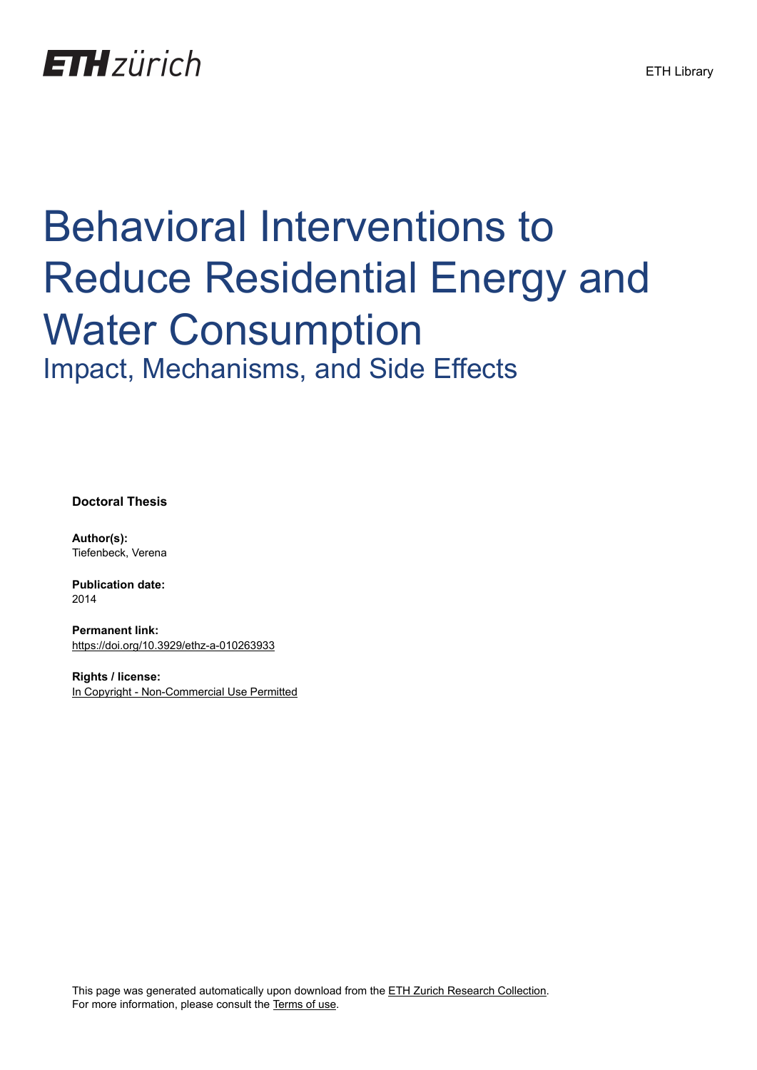## **ETH**zürich

# Behavioral Interventions to Reduce Residential Energy and Water Consumption Impact, Mechanisms, and Side Effects

**Doctoral Thesis**

**Author(s):** Tiefenbeck, Verena

**Publication date:** 2014

**Permanent link:** <https://doi.org/10.3929/ethz-a-010263933>

**Rights / license:** [In Copyright - Non-Commercial Use Permitted](http://rightsstatements.org/page/InC-NC/1.0/)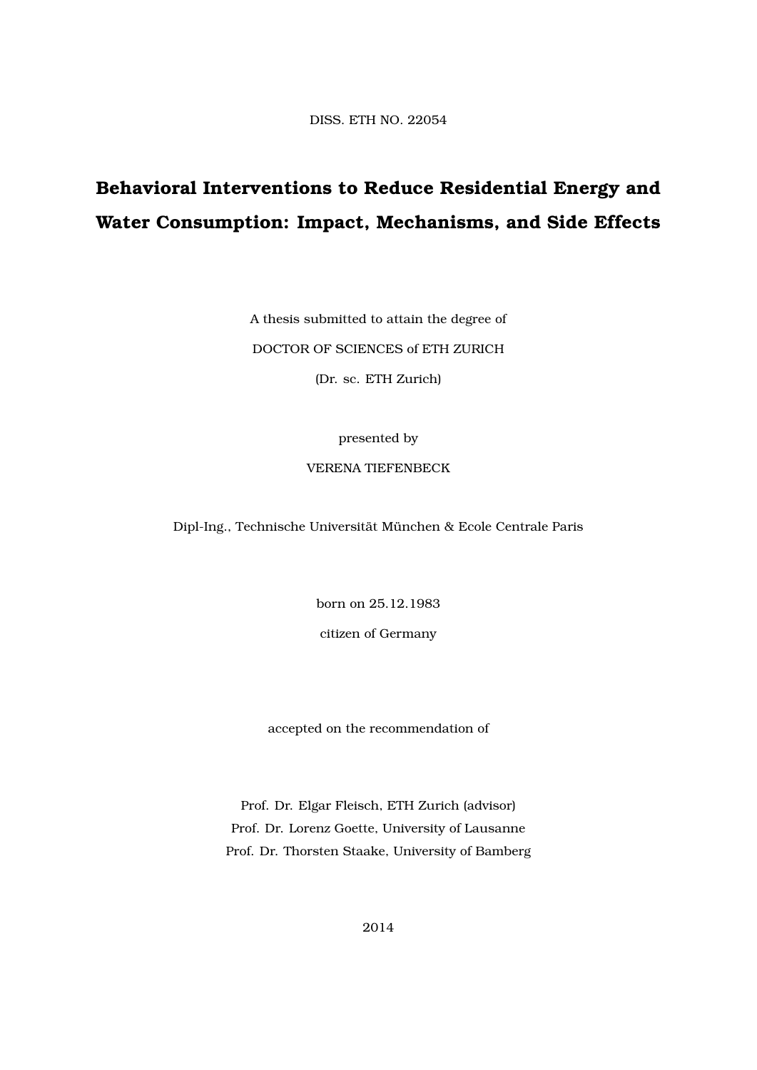DISS. ETH NO. 22054

### **Behavioral Interventions to Reduce Residential Energy and Water Consumption: Impact, Mechanisms, and Side Effects**

A thesis submitted to attain the degree of DOCTOR OF SCIENCES of ETH ZURICH

(Dr. sc. ETH Zurich)

presented by

#### VERENA TIEFENBECK

Dipl-Ing., Technische Universität München & Ecole Centrale Paris

born on 25.12.1983

citizen of Germany

accepted on the recommendation of

Prof. Dr. Elgar Fleisch, ETH Zurich (advisor) Prof. Dr. Lorenz Goette, University of Lausanne Prof. Dr. Thorsten Staake, University of Bamberg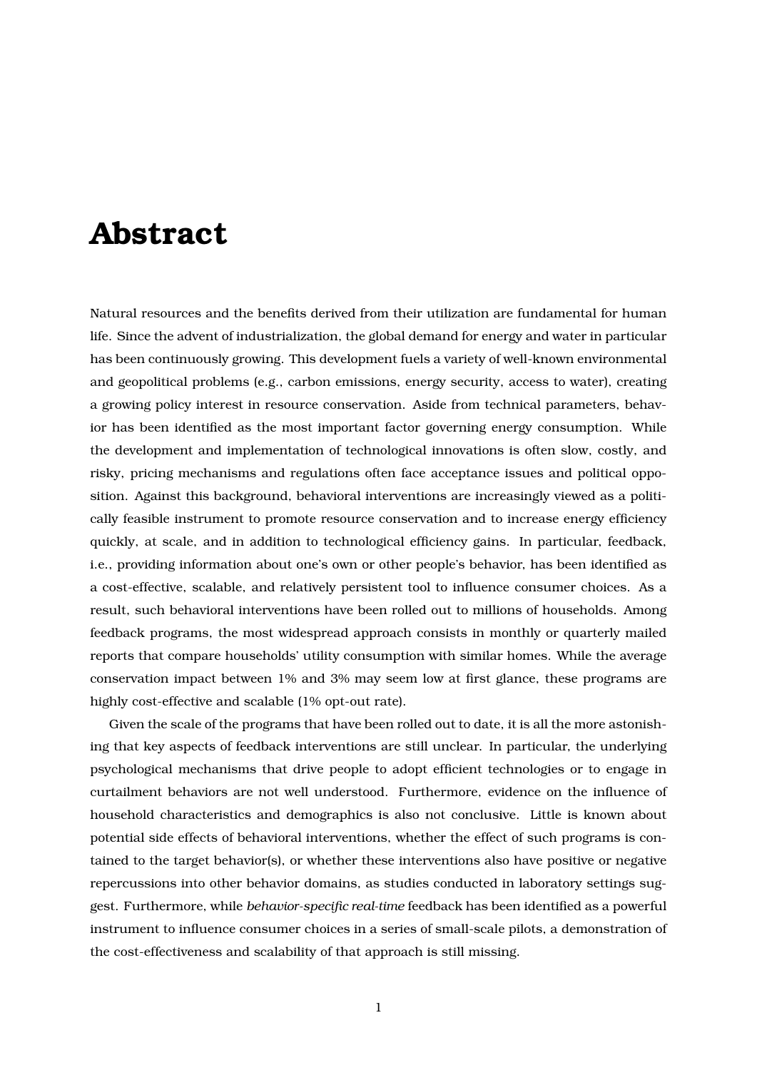### **Abstract**

Natural resources and the benefits derived from their utilization are fundamental for human life. Since the advent of industrialization, the global demand for energy and water in particular has been continuously growing. This development fuels a variety of well-known environmental and geopolitical problems (e.g., carbon emissions, energy security, access to water), creating a growing policy interest in resource conservation. Aside from technical parameters, behavior has been identified as the most important factor governing energy consumption. While the development and implementation of technological innovations is often slow, costly, and risky, pricing mechanisms and regulations often face acceptance issues and political opposition. Against this background, behavioral interventions are increasingly viewed as a politically feasible instrument to promote resource conservation and to increase energy efficiency quickly, at scale, and in addition to technological efficiency gains. In particular, feedback, i.e., providing information about one's own or other people's behavior, has been identified as a cost-effective, scalable, and relatively persistent tool to influence consumer choices. As a result, such behavioral interventions have been rolled out to millions of households. Among feedback programs, the most widespread approach consists in monthly or quarterly mailed reports that compare households' utility consumption with similar homes. While the average conservation impact between 1% and 3% may seem low at first glance, these programs are highly cost-effective and scalable (1% opt-out rate).

Given the scale of the programs that have been rolled out to date, it is all the more astonishing that key aspects of feedback interventions are still unclear. In particular, the underlying psychological mechanisms that drive people to adopt efficient technologies or to engage in curtailment behaviors are not well understood. Furthermore, evidence on the influence of household characteristics and demographics is also not conclusive. Little is known about potential side effects of behavioral interventions, whether the effect of such programs is contained to the target behavior(s), or whether these interventions also have positive or negative repercussions into other behavior domains, as studies conducted in laboratory settings suggest. Furthermore, while *behavior-specific real-time* feedback has been identified as a powerful instrument to influence consumer choices in a series of small-scale pilots, a demonstration of the cost-effectiveness and scalability of that approach is still missing.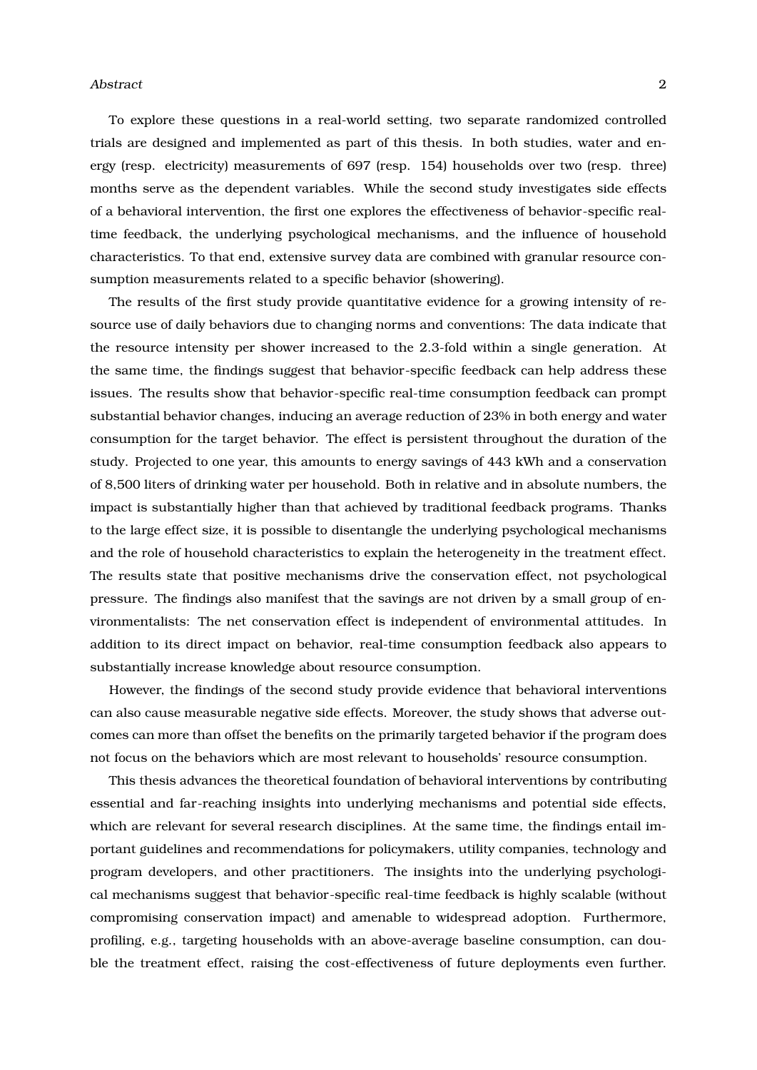#### Abstract 2

To explore these questions in a real-world setting, two separate randomized controlled trials are designed and implemented as part of this thesis. In both studies, water and energy (resp. electricity) measurements of 697 (resp. 154) households over two (resp. three) months serve as the dependent variables. While the second study investigates side effects of a behavioral intervention, the first one explores the effectiveness of behavior-specific realtime feedback, the underlying psychological mechanisms, and the influence of household characteristics. To that end, extensive survey data are combined with granular resource consumption measurements related to a specific behavior (showering).

The results of the first study provide quantitative evidence for a growing intensity of resource use of daily behaviors due to changing norms and conventions: The data indicate that the resource intensity per shower increased to the 2.3-fold within a single generation. At the same time, the findings suggest that behavior-specific feedback can help address these issues. The results show that behavior-specific real-time consumption feedback can prompt substantial behavior changes, inducing an average reduction of 23% in both energy and water consumption for the target behavior. The effect is persistent throughout the duration of the study. Projected to one year, this amounts to energy savings of 443 kWh and a conservation of 8,500 liters of drinking water per household. Both in relative and in absolute numbers, the impact is substantially higher than that achieved by traditional feedback programs. Thanks to the large effect size, it is possible to disentangle the underlying psychological mechanisms and the role of household characteristics to explain the heterogeneity in the treatment effect. The results state that positive mechanisms drive the conservation effect, not psychological pressure. The findings also manifest that the savings are not driven by a small group of environmentalists: The net conservation effect is independent of environmental attitudes. In addition to its direct impact on behavior, real-time consumption feedback also appears to substantially increase knowledge about resource consumption.

However, the findings of the second study provide evidence that behavioral interventions can also cause measurable negative side effects. Moreover, the study shows that adverse outcomes can more than offset the benefits on the primarily targeted behavior if the program does not focus on the behaviors which are most relevant to households' resource consumption.

This thesis advances the theoretical foundation of behavioral interventions by contributing essential and far-reaching insights into underlying mechanisms and potential side effects, which are relevant for several research disciplines. At the same time, the findings entail important guidelines and recommendations for policymakers, utility companies, technology and program developers, and other practitioners. The insights into the underlying psychological mechanisms suggest that behavior-specific real-time feedback is highly scalable (without compromising conservation impact) and amenable to widespread adoption. Furthermore, profiling, e.g., targeting households with an above-average baseline consumption, can double the treatment effect, raising the cost-effectiveness of future deployments even further.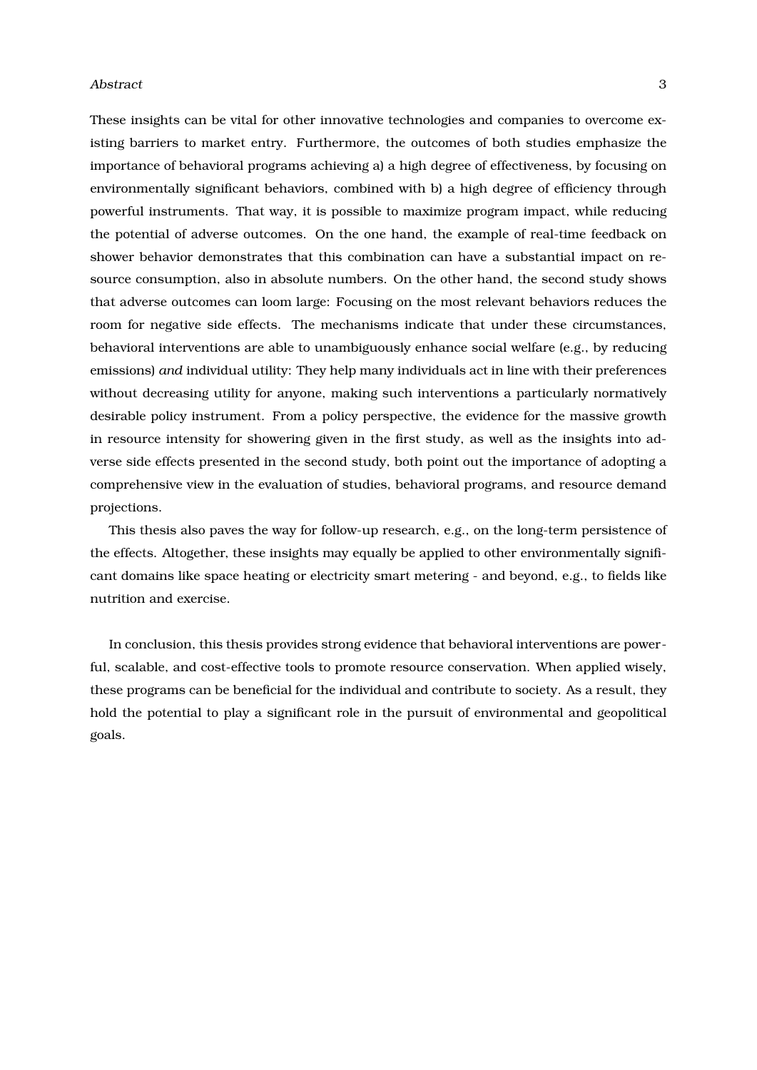#### Abstract 3 and 3 and 3 and 3 and 3 and 3 and 3 and 3 and 3 and 3 and 3 and 3 and 3 and 3 and 3 and 3 and 3 and 3 and 3 and 3 and 3 and 3 and 3 and 3 and 3 and 3 and 3 and 3 and 3 and 3 and 3 and 3 and 3 and 3 and 3 and 3 a

These insights can be vital for other innovative technologies and companies to overcome existing barriers to market entry. Furthermore, the outcomes of both studies emphasize the importance of behavioral programs achieving a) a high degree of effectiveness, by focusing on environmentally significant behaviors, combined with b) a high degree of efficiency through powerful instruments. That way, it is possible to maximize program impact, while reducing the potential of adverse outcomes. On the one hand, the example of real-time feedback on shower behavior demonstrates that this combination can have a substantial impact on resource consumption, also in absolute numbers. On the other hand, the second study shows that adverse outcomes can loom large: Focusing on the most relevant behaviors reduces the room for negative side effects. The mechanisms indicate that under these circumstances, behavioral interventions are able to unambiguously enhance social welfare (e.g., by reducing emissions) *and* individual utility: They help many individuals act in line with their preferences without decreasing utility for anyone, making such interventions a particularly normatively desirable policy instrument. From a policy perspective, the evidence for the massive growth in resource intensity for showering given in the first study, as well as the insights into adverse side effects presented in the second study, both point out the importance of adopting a comprehensive view in the evaluation of studies, behavioral programs, and resource demand projections.

This thesis also paves the way for follow-up research, e.g., on the long-term persistence of the effects. Altogether, these insights may equally be applied to other environmentally significant domains like space heating or electricity smart metering - and beyond, e.g., to fields like nutrition and exercise.

In conclusion, this thesis provides strong evidence that behavioral interventions are powerful, scalable, and cost-effective tools to promote resource conservation. When applied wisely, these programs can be beneficial for the individual and contribute to society. As a result, they hold the potential to play a significant role in the pursuit of environmental and geopolitical goals.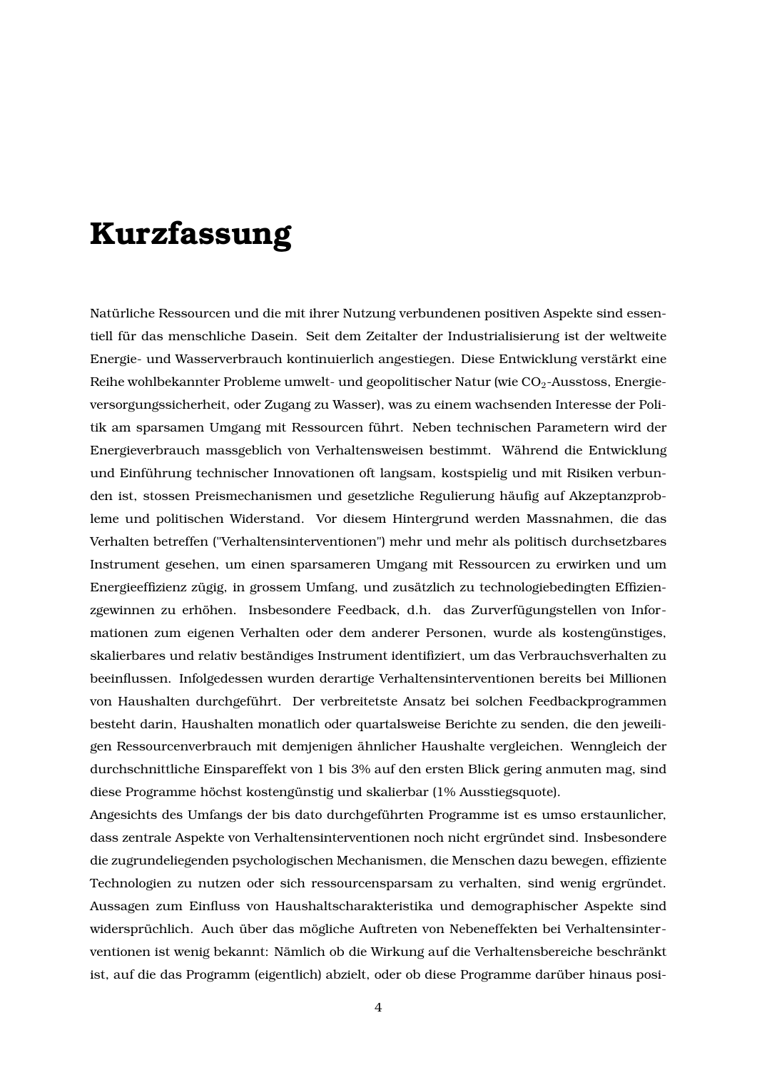### **Kurzfassung**

Natürliche Ressourcen und die mit ihrer Nutzung verbundenen positiven Aspekte sind essentiell für das menschliche Dasein. Seit dem Zeitalter der Industrialisierung ist der weltweite Energie- und Wasserverbrauch kontinuierlich angestiegen. Diese Entwicklung verstärkt eine Reihe wohlbekannter Probleme umwelt- und geopolitischer Natur (wie CO<sub>2</sub>-Ausstoss, Energieversorgungssicherheit, oder Zugang zu Wasser), was zu einem wachsenden Interesse der Politik am sparsamen Umgang mit Ressourcen führt. Neben technischen Parametern wird der Energieverbrauch massgeblich von Verhaltensweisen bestimmt. Während die Entwicklung und Einführung technischer Innovationen oft langsam, kostspielig und mit Risiken verbunden ist, stossen Preismechanismen und gesetzliche Regulierung häufig auf Akzeptanzprobleme und politischen Widerstand. Vor diesem Hintergrund werden Massnahmen, die das Verhalten betreffen ("Verhaltensinterventionen") mehr und mehr als politisch durchsetzbares Instrument gesehen, um einen sparsameren Umgang mit Ressourcen zu erwirken und um Energieeffizienz zügig, in grossem Umfang, und zusätzlich zu technologiebedingten Effizienzgewinnen zu erhöhen. Insbesondere Feedback, d.h. das Zurverfügungstellen von Informationen zum eigenen Verhalten oder dem anderer Personen, wurde als kostengünstiges, skalierbares und relativ beständiges Instrument identifiziert, um das Verbrauchsverhalten zu beeinflussen. Infolgedessen wurden derartige Verhaltensinterventionen bereits bei Millionen von Haushalten durchgeführt. Der verbreitetste Ansatz bei solchen Feedbackprogrammen besteht darin, Haushalten monatlich oder quartalsweise Berichte zu senden, die den jeweiligen Ressourcenverbrauch mit demjenigen ähnlicher Haushalte vergleichen. Wenngleich der durchschnittliche Einspareffekt von 1 bis 3% auf den ersten Blick gering anmuten mag, sind diese Programme höchst kostengünstig und skalierbar (1% Ausstiegsquote).

Angesichts des Umfangs der bis dato durchgeführten Programme ist es umso erstaunlicher, dass zentrale Aspekte von Verhaltensinterventionen noch nicht ergründet sind. Insbesondere die zugrundeliegenden psychologischen Mechanismen, die Menschen dazu bewegen, effiziente Technologien zu nutzen oder sich ressourcensparsam zu verhalten, sind wenig ergründet. Aussagen zum Einfluss von Haushaltscharakteristika und demographischer Aspekte sind widersprüchlich. Auch über das mögliche Auftreten von Nebeneffekten bei Verhaltensinterventionen ist wenig bekannt: Nämlich ob die Wirkung auf die Verhaltensbereiche beschränkt ist, auf die das Programm (eigentlich) abzielt, oder ob diese Programme darüber hinaus posi-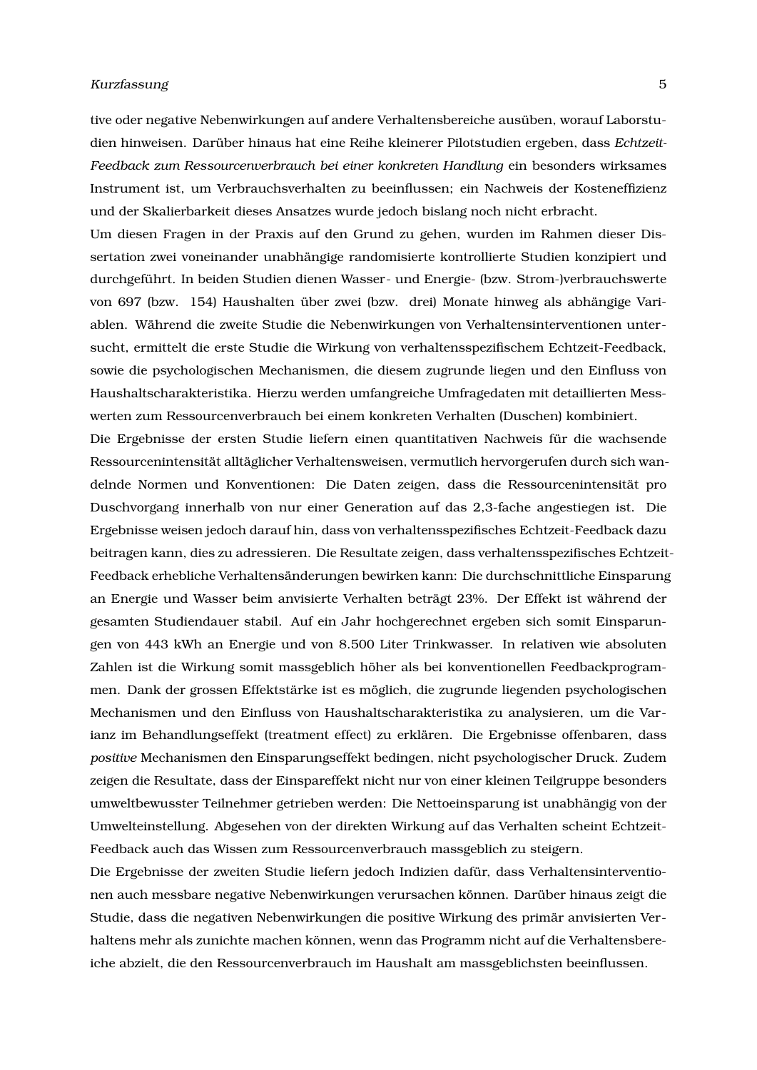#### Kurzfassung 5

tive oder negative Nebenwirkungen auf andere Verhaltensbereiche ausüben, worauf Laborstudien hinweisen. Darüber hinaus hat eine Reihe kleinerer Pilotstudien ergeben, dass *Echtzeit-Feedback zum Ressourcenverbrauch bei einer konkreten Handlung* ein besonders wirksames Instrument ist, um Verbrauchsverhalten zu beeinflussen; ein Nachweis der Kosteneffizienz und der Skalierbarkeit dieses Ansatzes wurde jedoch bislang noch nicht erbracht.

Um diesen Fragen in der Praxis auf den Grund zu gehen, wurden im Rahmen dieser Dissertation zwei voneinander unabhängige randomisierte kontrollierte Studien konzipiert und durchgeführt. In beiden Studien dienen Wasser- und Energie- (bzw. Strom-)verbrauchswerte von 697 (bzw. 154) Haushalten über zwei (bzw. drei) Monate hinweg als abhängige Variablen. Während die zweite Studie die Nebenwirkungen von Verhaltensinterventionen untersucht, ermittelt die erste Studie die Wirkung von verhaltensspezifischem Echtzeit-Feedback, sowie die psychologischen Mechanismen, die diesem zugrunde liegen und den Einfluss von Haushaltscharakteristika. Hierzu werden umfangreiche Umfragedaten mit detaillierten Messwerten zum Ressourcenverbrauch bei einem konkreten Verhalten (Duschen) kombiniert.

Die Ergebnisse der ersten Studie liefern einen quantitativen Nachweis für die wachsende Ressourcenintensität alltäglicher Verhaltensweisen, vermutlich hervorgerufen durch sich wandelnde Normen und Konventionen: Die Daten zeigen, dass die Ressourcenintensität pro Duschvorgang innerhalb von nur einer Generation auf das 2,3-fache angestiegen ist. Die Ergebnisse weisen jedoch darauf hin, dass von verhaltensspezifisches Echtzeit-Feedback dazu beitragen kann, dies zu adressieren. Die Resultate zeigen, dass verhaltensspezifisches Echtzeit-Feedback erhebliche Verhaltensänderungen bewirken kann: Die durchschnittliche Einsparung an Energie und Wasser beim anvisierte Verhalten beträgt 23%. Der Effekt ist während der gesamten Studiendauer stabil. Auf ein Jahr hochgerechnet ergeben sich somit Einsparungen von 443 kWh an Energie und von 8.500 Liter Trinkwasser. In relativen wie absoluten Zahlen ist die Wirkung somit massgeblich höher als bei konventionellen Feedbackprogrammen. Dank der grossen Effektstärke ist es möglich, die zugrunde liegenden psychologischen Mechanismen und den Einfluss von Haushaltscharakteristika zu analysieren, um die Varianz im Behandlungseffekt (treatment effect) zu erklären. Die Ergebnisse offenbaren, dass *positive* Mechanismen den Einsparungseffekt bedingen, nicht psychologischer Druck. Zudem zeigen die Resultate, dass der Einspareffekt nicht nur von einer kleinen Teilgruppe besonders umweltbewusster Teilnehmer getrieben werden: Die Nettoeinsparung ist unabhängig von der Umwelteinstellung. Abgesehen von der direkten Wirkung auf das Verhalten scheint Echtzeit-Feedback auch das Wissen zum Ressourcenverbrauch massgeblich zu steigern.

Die Ergebnisse der zweiten Studie liefern jedoch Indizien dafür, dass Verhaltensinterventionen auch messbare negative Nebenwirkungen verursachen können. Darüber hinaus zeigt die Studie, dass die negativen Nebenwirkungen die positive Wirkung des primär anvisierten Verhaltens mehr als zunichte machen können, wenn das Programm nicht auf die Verhaltensbereiche abzielt, die den Ressourcenverbrauch im Haushalt am massgeblichsten beeinflussen.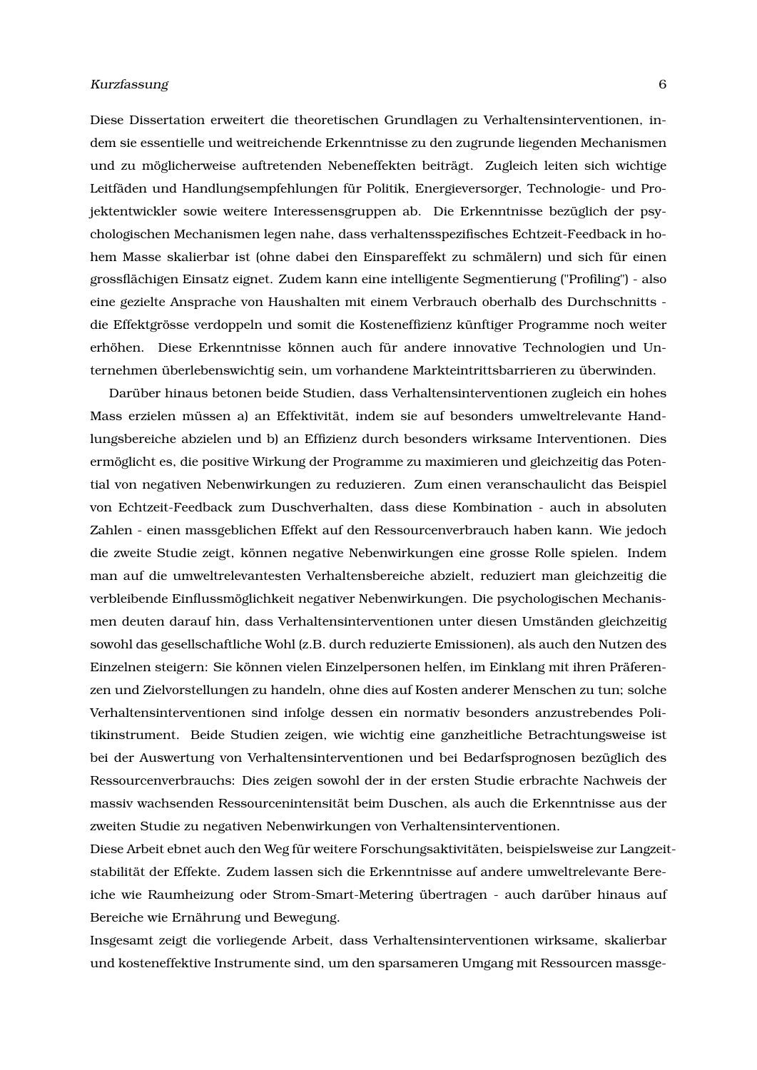#### Kurzfassung 6

Diese Dissertation erweitert die theoretischen Grundlagen zu Verhaltensinterventionen, indem sie essentielle und weitreichende Erkenntnisse zu den zugrunde liegenden Mechanismen und zu möglicherweise auftretenden Nebeneffekten beiträgt. Zugleich leiten sich wichtige Leitfäden und Handlungsempfehlungen für Politik, Energieversorger, Technologie- und Projektentwickler sowie weitere Interessensgruppen ab. Die Erkenntnisse bezüglich der psychologischen Mechanismen legen nahe, dass verhaltensspezifisches Echtzeit-Feedback in hohem Masse skalierbar ist (ohne dabei den Einspareffekt zu schmälern) und sich für einen grossflächigen Einsatz eignet. Zudem kann eine intelligente Segmentierung ("Profiling") - also eine gezielte Ansprache von Haushalten mit einem Verbrauch oberhalb des Durchschnitts die Effektgrösse verdoppeln und somit die Kosteneffizienz künftiger Programme noch weiter erhöhen. Diese Erkenntnisse können auch für andere innovative Technologien und Unternehmen überlebenswichtig sein, um vorhandene Markteintrittsbarrieren zu überwinden.

Darüber hinaus betonen beide Studien, dass Verhaltensinterventionen zugleich ein hohes Mass erzielen müssen a) an Effektivität, indem sie auf besonders umweltrelevante Handlungsbereiche abzielen und b) an Effizienz durch besonders wirksame Interventionen. Dies ermöglicht es, die positive Wirkung der Programme zu maximieren und gleichzeitig das Potential von negativen Nebenwirkungen zu reduzieren. Zum einen veranschaulicht das Beispiel von Echtzeit-Feedback zum Duschverhalten, dass diese Kombination - auch in absoluten Zahlen - einen massgeblichen Effekt auf den Ressourcenverbrauch haben kann. Wie jedoch die zweite Studie zeigt, können negative Nebenwirkungen eine grosse Rolle spielen. Indem man auf die umweltrelevantesten Verhaltensbereiche abzielt, reduziert man gleichzeitig die verbleibende Einflussmöglichkeit negativer Nebenwirkungen. Die psychologischen Mechanismen deuten darauf hin, dass Verhaltensinterventionen unter diesen Umständen gleichzeitig sowohl das gesellschaftliche Wohl (z.B. durch reduzierte Emissionen), als auch den Nutzen des Einzelnen steigern: Sie können vielen Einzelpersonen helfen, im Einklang mit ihren Präferenzen und Zielvorstellungen zu handeln, ohne dies auf Kosten anderer Menschen zu tun; solche Verhaltensinterventionen sind infolge dessen ein normativ besonders anzustrebendes Politikinstrument. Beide Studien zeigen, wie wichtig eine ganzheitliche Betrachtungsweise ist bei der Auswertung von Verhaltensinterventionen und bei Bedarfsprognosen bezüglich des Ressourcenverbrauchs: Dies zeigen sowohl der in der ersten Studie erbrachte Nachweis der massiv wachsenden Ressourcenintensität beim Duschen, als auch die Erkenntnisse aus der zweiten Studie zu negativen Nebenwirkungen von Verhaltensinterventionen.

Diese Arbeit ebnet auch den Weg für weitere Forschungsaktivitäten, beispielsweise zur Langzeitstabilität der Effekte. Zudem lassen sich die Erkenntnisse auf andere umweltrelevante Bereiche wie Raumheizung oder Strom-Smart-Metering übertragen - auch darüber hinaus auf Bereiche wie Ernährung und Bewegung.

Insgesamt zeigt die vorliegende Arbeit, dass Verhaltensinterventionen wirksame, skalierbar und kosteneffektive Instrumente sind, um den sparsameren Umgang mit Ressourcen massge